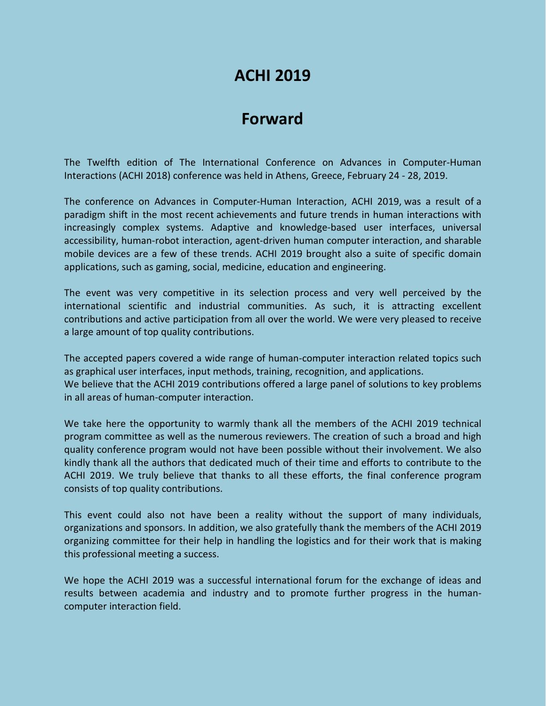# **ACHI 2019**

# **Forward**

The Twelfth edition of The International Conference on Advances in Computer-Human Interactions (ACHI 2018) conference was held in Athens, Greece, February 24 - 28, 2019.

The conference on Advances in Computer-Human Interaction, ACHI 2019, was a result of a paradigm shift in the most recent achievements and future trends in human interactions with increasingly complex systems. Adaptive and knowledge-based user interfaces, universal accessibility, human-robot interaction, agent-driven human computer interaction, and sharable mobile devices are a few of these trends. ACHI 2019 brought also a suite of specific domain applications, such as gaming, social, medicine, education and engineering.

The event was very competitive in its selection process and very well perceived by the international scientific and industrial communities. As such, it is attracting excellent contributions and active participation from all over the world. We were very pleased to receive a large amount of top quality contributions.

The accepted papers covered a wide range of human-computer interaction related topics such as graphical user interfaces, input methods, training, recognition, and applications. We believe that the ACHI 2019 contributions offered a large panel of solutions to key problems in all areas of human-computer interaction.

We take here the opportunity to warmly thank all the members of the ACHI 2019 technical program committee as well as the numerous reviewers. The creation of such a broad and high quality conference program would not have been possible without their involvement. We also kindly thank all the authors that dedicated much of their time and efforts to contribute to the ACHI 2019. We truly believe that thanks to all these efforts, the final conference program consists of top quality contributions.

This event could also not have been a reality without the support of many individuals, organizations and sponsors. In addition, we also gratefully thank the members of the ACHI 2019 organizing committee for their help in handling the logistics and for their work that is making this professional meeting a success.

We hope the ACHI 2019 was a successful international forum for the exchange of ideas and results between academia and industry and to promote further progress in the humancomputer interaction field.